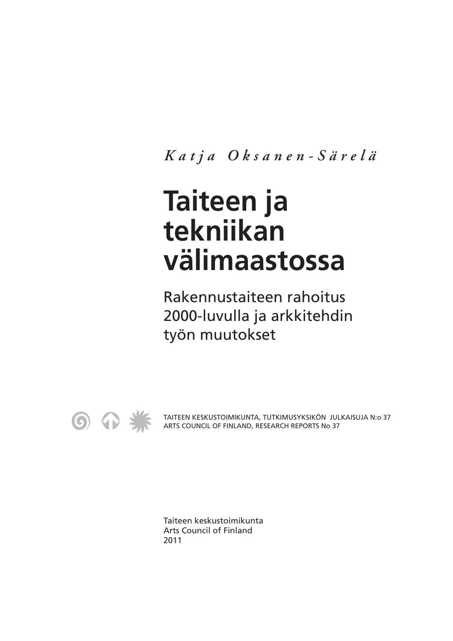*Katja Oksanen-Särelä*

# **Taiteen ja tekniikan välimaastossa**

Rakennustaiteen rahoitus 2000-luvulla ja arkkitehdin työn muutokset



TAITEEN KESKUSTOIMIKUNTA, TUTKIMUSYKSIKÖN JULKAISUJA N:o 37 ARTS COUNCIL OF FINLAND, RESEARCH REPORTS No 37

Taiteen keskustoimikunta Arts Council of Finland 2011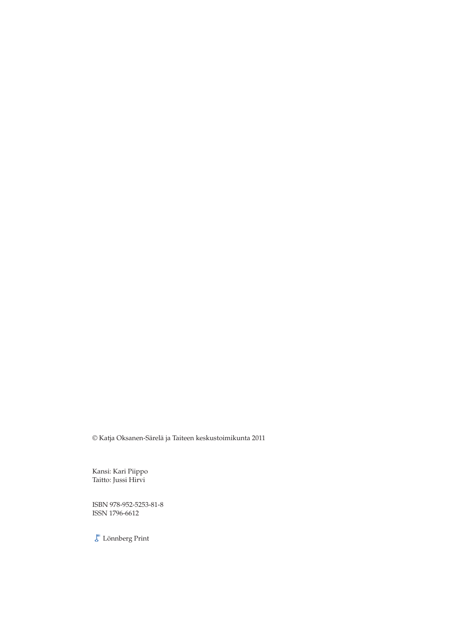© Katja Oksanen-Särelä ja Taiteen keskustoimikunta 2011

Kansi: Kari Piippo Taitto: Jussi Hirvi

ISBN 978-952-5253-81-8 ISSN 1796-6612

 $\mathcal{E}$ Lönnberg Print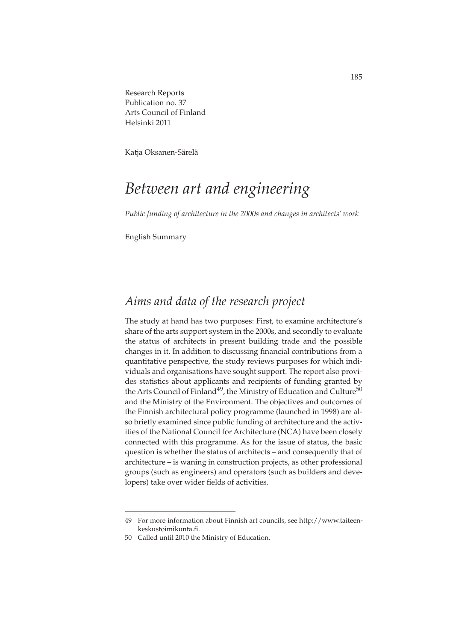Research Reports Publication no. 37 Arts Council of Finland Helsinki 2011

Katja Oksanen-Särelä

## *Between art and engineering*

*Public funding of architecture in the 2000s and changes in architects' work*

English Summary

#### *Aims and data of the research project*

The study at hand has two purposes: First, to examine architecture's share of the arts support system in the 2000s, and secondly to evaluate the status of architects in present building trade and the possible changes in it. In addition to discussing financial contributions from a quantitative perspective, the study reviews purposes for which individuals and organisations have sought support. The report also provides statistics about applicants and recipients of funding granted by the Arts Council of Finland<sup>49</sup>, the Ministry of Education and Culture<sup>50</sup> and the Ministry of the Environment. The objectives and outcomes of the Finnish architectural policy programme (launched in 1998) are also briefly examined since public funding of architecture and the activities of the National Council for Architecture (NCA) have been closely connected with this programme. As for the issue of status, the basic question is whether the status of architects – and consequently that of architecture – is waning in construction projects, as other professional groups (such as engineers) and operators (such as builders and developers) take over wider fields of activities.

<sup>49</sup> For more information about Finnish art councils, see http://www.taiteenkeskustoimikunta.fi.

<sup>50</sup> Called until 2010 the Ministry of Education.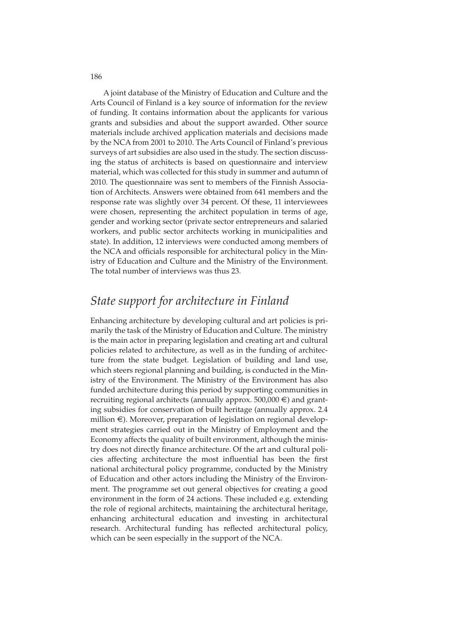A joint database of the Ministry of Education and Culture and the Arts Council of Finland is a key source of information for the review of funding. It contains information about the applicants for various grants and subsidies and about the support awarded. Other source materials include archived application materials and decisions made by the NCA from 2001 to 2010. The Arts Council of Finland's previous surveys of art subsidies are also used in the study. The section discussing the status of architects is based on questionnaire and interview material, which was collected for this study in summer and autumn of 2010. The questionnaire was sent to members of the Finnish Association of Architects. Answers were obtained from 641 members and the response rate was slightly over 34 percent. Of these, 11 interviewees were chosen, representing the architect population in terms of age, gender and working sector (private sector entrepreneurs and salaried workers, and public sector architects working in municipalities and state). In addition, 12 interviews were conducted among members of the NCA and officials responsible for architectural policy in the Ministry of Education and Culture and the Ministry of the Environment. The total number of interviews was thus 23.

#### *State support for architecture in Finland*

Enhancing architecture by developing cultural and art policies is primarily the task of the Ministry of Education and Culture. The ministry is the main actor in preparing legislation and creating art and cultural policies related to architecture, as well as in the funding of architecture from the state budget. Legislation of building and land use, which steers regional planning and building, is conducted in the Ministry of the Environment. The Ministry of the Environment has also funded architecture during this period by supporting communities in recruiting regional architects (annually approx.  $500,000 \in \mathcal{E}$ ) and granting subsidies for conservation of built heritage (annually approx. 2.4 million €). Moreover, preparation of legislation on regional development strategies carried out in the Ministry of Employment and the Economy affects the quality of built environment, although the ministry does not directly finance architecture. Of the art and cultural policies affecting architecture the most influential has been the first national architectural policy programme, conducted by the Ministry of Education and other actors including the Ministry of the Environment. The programme set out general objectives for creating a good environment in the form of 24 actions. These included e.g. extending the role of regional architects, maintaining the architectural heritage, enhancing architectural education and investing in architectural research. Architectural funding has reflected architectural policy, which can be seen especially in the support of the NCA.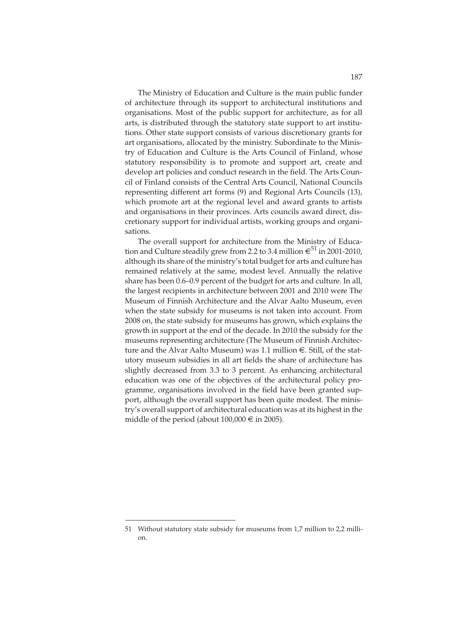The Ministry of Education and Culture is the main public funder of architecture through its support to architectural institutions and organisations. Most of the public support for architecture, as for all arts, is distributed through the statutory state support to art institutions. Other state support consists of various discretionary grants for art organisations, allocated by the ministry. Subordinate to the Ministry of Education and Culture is the Arts Council of Finland, whose statutory responsibility is to promote and support art, create and develop art policies and conduct research in the field. The Arts Council of Finland consists of the Central Arts Council, National Councils representing different art forms (9) and Regional Arts Councils (13), which promote art at the regional level and award grants to artists and organisations in their provinces. Arts councils award direct, discretionary support for individual artists, working groups and organisations.

The overall support for architecture from the Ministry of Education and Culture steadily grew from 2.2 to 3.4 million  $\epsilon^{51}$  in 2001-2010, although its share of the ministry's total budget for arts and culture has remained relatively at the same, modest level. Annually the relative share has been 0.6–0.9 percent of the budget for arts and culture. In all, the largest recipients in architecture between 2001 and 2010 were The Museum of Finnish Architecture and the Alvar Aalto Museum, even when the state subsidy for museums is not taken into account. From 2008 on, the state subsidy for museums has grown, which explains the growth in support at the end of the decade. In 2010 the subsidy for the museums representing architecture (The Museum of Finnish Architecture and the Alvar Aalto Museum) was 1.1 million  $\epsilon$ . Still, of the statutory museum subsidies in all art fields the share of architecture has slightly decreased from 3.3 to 3 percent. As enhancing architectural education was one of the objectives of the architectural policy programme, organisations involved in the field have been granted support, although the overall support has been quite modest. The ministry's overall support of architectural education was at its highest in the middle of the period (about  $100,000 \in \text{in } 2005$ ).

<sup>51</sup> Without statutory state subsidy for museums from 1,7 million to 2,2 million.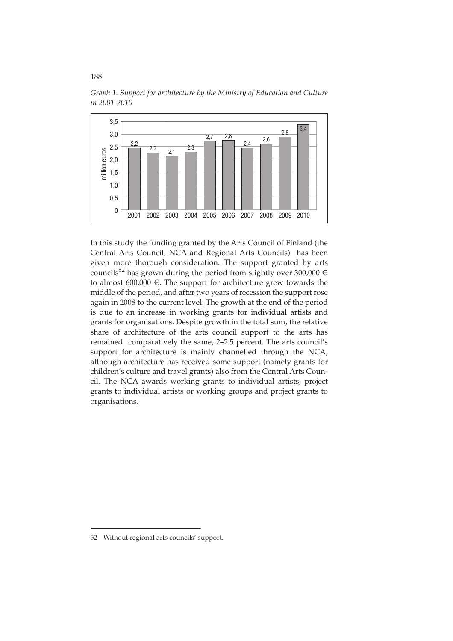

*Graph 1. Support for architecture by the Ministry of Education and Culture in 2001-2010*

In this study the funding granted by the Arts Council of Finland (the Central Arts Council, NCA and Regional Arts Councils) has been given more thorough consideration. The support granted by arts councils<sup>52</sup> has grown during the period from slightly over 300,000  $\in$ to almost  $600,000 \in$ . The support for architecture grew towards the middle of the period, and after two years of recession the support rose again in 2008 to the current level. The growth at the end of the period is due to an increase in working grants for individual artists and grants for organisations. Despite growth in the total sum, the relative share of architecture of the arts council support to the arts has remained comparatively the same, 2–2.5 percent. The arts council's support for architecture is mainly channelled through the NCA, although architecture has received some support (namely grants for children's culture and travel grants) also from the Central Arts Council. The NCA awards working grants to individual artists, project grants to individual artists or working groups and project grants to organisations.

<sup>52</sup> Without regional arts councils' support.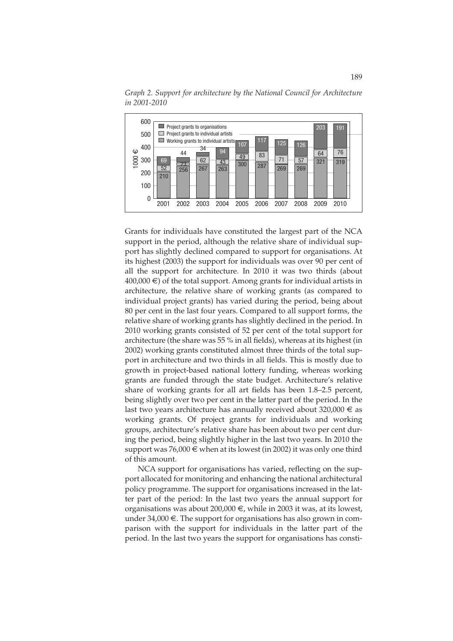

*Graph 2. Support for architecture by the National Council for Architecture in 2001-2010*

Grants for individuals have constituted the largest part of the NCA support in the period, although the relative share of individual support has slightly declined compared to support for organisations. At its highest (2003) the support for individuals was over 90 per cent of all the support for architecture. In 2010 it was two thirds (about  $400,000 \in$ ) of the total support. Among grants for individual artists in architecture, the relative share of working grants (as compared to individual project grants) has varied during the period, being about 80 per cent in the last four years. Compared to all support forms, the relative share of working grants has slightly declined in the period. In 2010 working grants consisted of 52 per cent of the total support for architecture (the share was 55 % in all fields), whereas at its highest (in 2002) working grants constituted almost three thirds of the total support in architecture and two thirds in all fields. This is mostly due to growth in project-based national lottery funding, whereas working grants are funded through the state budget. Architecture's relative share of working grants for all art fields has been 1.8–2.5 percent, being slightly over two per cent in the latter part of the period. In the last two years architecture has annually received about 320,000  $\epsilon$  as working grants. Of project grants for individuals and working groups, architecture's relative share has been about two per cent during the period, being slightly higher in the last two years. In 2010 the support was 76,000 € when at its lowest (in 2002) it was only one third of this amount.

NCA support for organisations has varied, reflecting on the support allocated for monitoring and enhancing the national architectural policy programme. The support for organisations increased in the latter part of the period: In the last two years the annual support for organisations was about 200,000 €, while in 2003 it was, at its lowest, under 34,000 €. The support for organisations has also grown in comparison with the support for individuals in the latter part of the period. In the last two years the support for organisations has consti-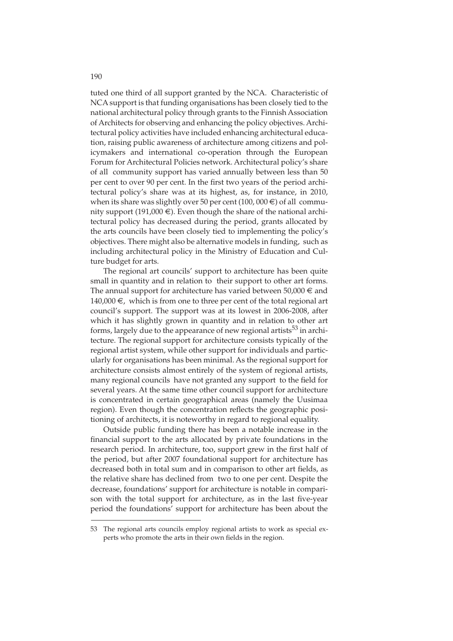tuted one third of all support granted by the NCA. Characteristic of NCA support is that funding organisations has been closely tied to the national architectural policy through grants to the Finnish Association of Architects for observing and enhancing the policy objectives. Architectural policy activities have included enhancing architectural education, raising public awareness of architecture among citizens and policymakers and international co-operation through the European Forum for Architectural Policies network. Architectural policy's share of all community support has varied annually between less than 50 per cent to over 90 per cent. In the first two years of the period architectural policy's share was at its highest, as, for instance, in 2010, when its share was slightly over 50 per cent (100, 000  $\in$ ) of all community support (191,000 €). Even though the share of the national architectural policy has decreased during the period, grants allocated by the arts councils have been closely tied to implementing the policy's objectives. There might also be alternative models in funding, such as including architectural policy in the Ministry of Education and Culture budget for arts.

The regional art councils' support to architecture has been quite small in quantity and in relation to their support to other art forms. The annual support for architecture has varied between  $50,000 \in \text{and}$ 140,000 €, which is from one to three per cent of the total regional art council's support. The support was at its lowest in 2006-2008, after which it has slightly grown in quantity and in relation to other art forms, largely due to the appearance of new regional artists<sup>53</sup> in architecture. The regional support for architecture consists typically of the regional artist system, while other support for individuals and particularly for organisations has been minimal. As the regional support for architecture consists almost entirely of the system of regional artists, many regional councils have not granted any support to the field for several years. At the same time other council support for architecture is concentrated in certain geographical areas (namely the Uusimaa region). Even though the concentration reflects the geographic positioning of architects, it is noteworthy in regard to regional equality.

Outside public funding there has been a notable increase in the financial support to the arts allocated by private foundations in the research period. In architecture, too, support grew in the first half of the period, but after 2007 foundational support for architecture has decreased both in total sum and in comparison to other art fields, as the relative share has declined from two to one per cent. Despite the decrease, foundations' support for architecture is notable in comparison with the total support for architecture, as in the last five-year period the foundations' support for architecture has been about the

<sup>53</sup> The regional arts councils employ regional artists to work as special experts who promote the arts in their own fields in the region.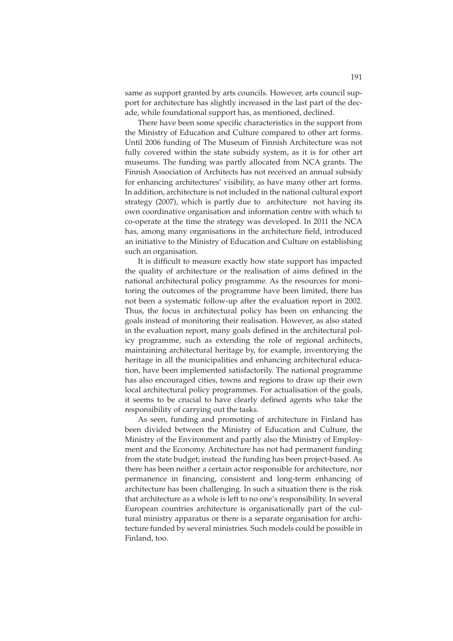same as support granted by arts councils. However, arts council support for architecture has slightly increased in the last part of the decade, while foundational support has, as mentioned, declined.

There have been some specific characteristics in the support from the Ministry of Education and Culture compared to other art forms. Until 2006 funding of The Museum of Finnish Architecture was not fully covered within the state subsidy system, as it is for other art museums. The funding was partly allocated from NCA grants. The Finnish Association of Architects has not received an annual subsidy for enhancing architectures' visibility, as have many other art forms. In addition, architecture is not included in the national cultural export strategy (2007), which is partly due to architecture not having its own coordinative organisation and information centre with which to co-operate at the time the strategy was developed. In 2011 the NCA has, among many organisations in the architecture field, introduced an initiative to the Ministry of Education and Culture on establishing such an organisation.

It is difficult to measure exactly how state support has impacted the quality of architecture or the realisation of aims defined in the national architectural policy programme. As the resources for monitoring the outcomes of the programme have been limited, there has not been a systematic follow-up after the evaluation report in 2002. Thus, the focus in architectural policy has been on enhancing the goals instead of monitoring their realisation. However, as also stated in the evaluation report, many goals defined in the architectural policy programme, such as extending the role of regional architects, maintaining architectural heritage by, for example, inventorying the heritage in all the municipalities and enhancing architectural education, have been implemented satisfactorily. The national programme has also encouraged cities, towns and regions to draw up their own local architectural policy programmes. For actualisation of the goals, it seems to be crucial to have clearly defined agents who take the responsibility of carrying out the tasks.

As seen, funding and promoting of architecture in Finland has been divided between the Ministry of Education and Culture, the Ministry of the Environment and partly also the Ministry of Employment and the Economy. Architecture has not had permanent funding from the state budget; instead the funding has been project-based. As there has been neither a certain actor responsible for architecture, nor permanence in financing, consistent and long-term enhancing of architecture has been challenging. In such a situation there is the risk that architecture as a whole is left to no one's responsibility. In several European countries architecture is organisationally part of the cultural ministry apparatus or there is a separate organisation for architecture funded by several ministries. Such models could be possible in Finland, too.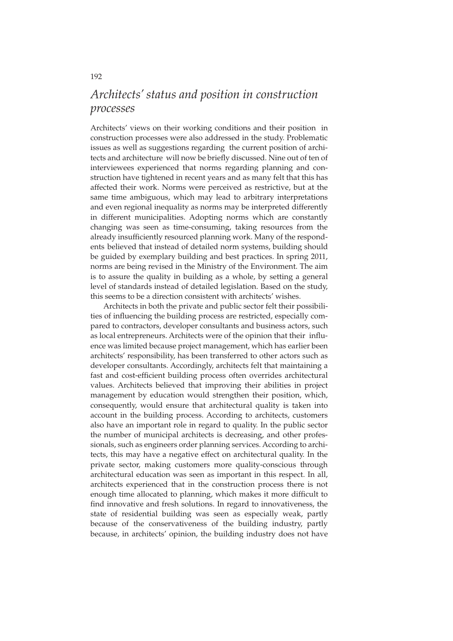### *Architects' status and position in construction processes*

Architects' views on their working conditions and their position in construction processes were also addressed in the study. Problematic issues as well as suggestions regarding the current position of architects and architecture will now be briefly discussed. Nine out of ten of interviewees experienced that norms regarding planning and construction have tightened in recent years and as many felt that this has affected their work. Norms were perceived as restrictive, but at the same time ambiguous, which may lead to arbitrary interpretations and even regional inequality as norms may be interpreted differently in different municipalities. Adopting norms which are constantly changing was seen as time-consuming, taking resources from the already insufficiently resourced planning work. Many of the respondents believed that instead of detailed norm systems, building should be guided by exemplary building and best practices. In spring 2011, norms are being revised in the Ministry of the Environment. The aim is to assure the quality in building as a whole, by setting a general level of standards instead of detailed legislation. Based on the study, this seems to be a direction consistent with architects' wishes.

Architects in both the private and public sector felt their possibilities of influencing the building process are restricted, especially compared to contractors, developer consultants and business actors, such as local entrepreneurs. Architects were of the opinion that their influence was limited because project management, which has earlier been architects' responsibility, has been transferred to other actors such as developer consultants. Accordingly, architects felt that maintaining a fast and cost-efficient building process often overrides architectural values. Architects believed that improving their abilities in project management by education would strengthen their position, which, consequently, would ensure that architectural quality is taken into account in the building process. According to architects, customers also have an important role in regard to quality. In the public sector the number of municipal architects is decreasing, and other professionals, such as engineers order planning services. According to architects, this may have a negative effect on architectural quality. In the private sector, making customers more quality-conscious through architectural education was seen as important in this respect. In all, architects experienced that in the construction process there is not enough time allocated to planning, which makes it more difficult to find innovative and fresh solutions. In regard to innovativeness, the state of residential building was seen as especially weak, partly because of the conservativeness of the building industry, partly because, in architects' opinion, the building industry does not have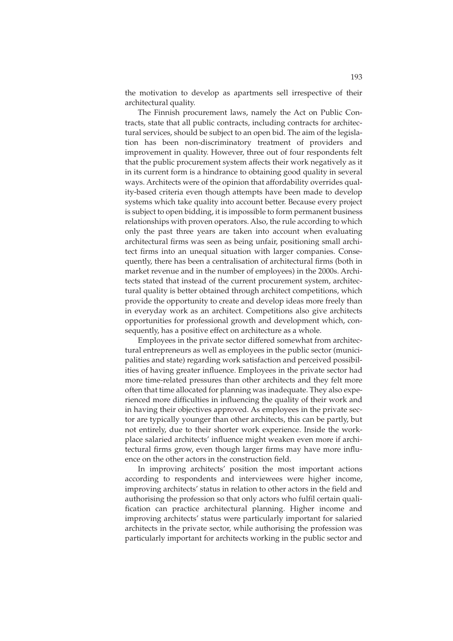the motivation to develop as apartments sell irrespective of their architectural quality.

The Finnish procurement laws, namely the Act on Public Contracts, state that all public contracts, including contracts for architectural services, should be subject to an open bid. The aim of the legislation has been non-discriminatory treatment of providers and improvement in quality. However, three out of four respondents felt that the public procurement system affects their work negatively as it in its current form is a hindrance to obtaining good quality in several ways. Architects were of the opinion that affordability overrides quality-based criteria even though attempts have been made to develop systems which take quality into account better. Because every project is subject to open bidding, it is impossible to form permanent business relationships with proven operators. Also, the rule according to which only the past three years are taken into account when evaluating architectural firms was seen as being unfair, positioning small architect firms into an unequal situation with larger companies. Consequently, there has been a centralisation of architectural firms (both in market revenue and in the number of employees) in the 2000s. Architects stated that instead of the current procurement system, architectural quality is better obtained through architect competitions, which provide the opportunity to create and develop ideas more freely than in everyday work as an architect. Competitions also give architects opportunities for professional growth and development which, consequently, has a positive effect on architecture as a whole.

Employees in the private sector differed somewhat from architectural entrepreneurs as well as employees in the public sector (municipalities and state) regarding work satisfaction and perceived possibilities of having greater influence. Employees in the private sector had more time-related pressures than other architects and they felt more often that time allocated for planning was inadequate. They also experienced more difficulties in influencing the quality of their work and in having their objectives approved. As employees in the private sector are typically younger than other architects, this can be partly, but not entirely, due to their shorter work experience. Inside the workplace salaried architects' influence might weaken even more if architectural firms grow, even though larger firms may have more influence on the other actors in the construction field.

In improving architects' position the most important actions according to respondents and interviewees were higher income, improving architects' status in relation to other actors in the field and authorising the profession so that only actors who fulfil certain qualification can practice architectural planning. Higher income and improving architects' status were particularly important for salaried architects in the private sector, while authorising the profession was particularly important for architects working in the public sector and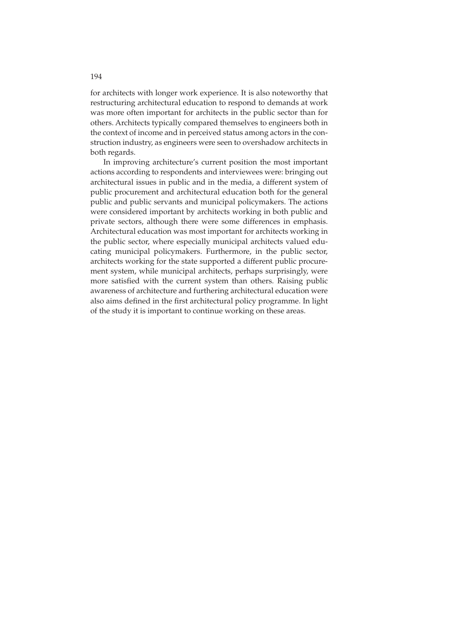for architects with longer work experience. It is also noteworthy that restructuring architectural education to respond to demands at work was more often important for architects in the public sector than for others. Architects typically compared themselves to engineers both in the context of income and in perceived status among actors in the construction industry, as engineers were seen to overshadow architects in both regards.

In improving architecture's current position the most important actions according to respondents and interviewees were: bringing out architectural issues in public and in the media, a different system of public procurement and architectural education both for the general public and public servants and municipal policymakers. The actions were considered important by architects working in both public and private sectors, although there were some differences in emphasis. Architectural education was most important for architects working in the public sector, where especially municipal architects valued educating municipal policymakers. Furthermore, in the public sector, architects working for the state supported a different public procurement system, while municipal architects, perhaps surprisingly, were more satisfied with the current system than others. Raising public awareness of architecture and furthering architectural education were also aims defined in the first architectural policy programme. In light of the study it is important to continue working on these areas.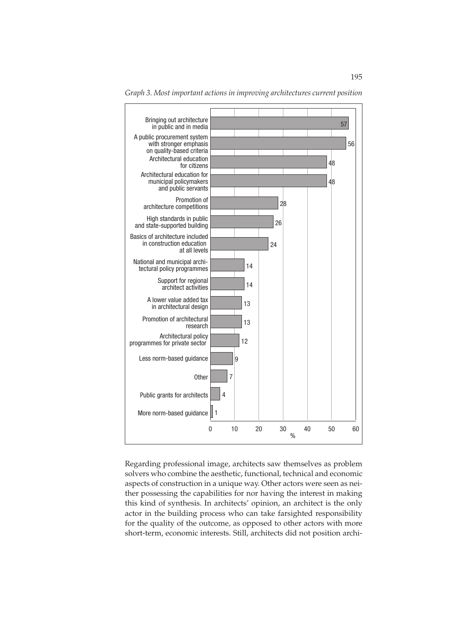

*Graph 3. Most important actions in improving architectures current position*

Regarding professional image, architects saw themselves as problem solvers who combine the aesthetic, functional, technical and economic aspects of construction in a unique way. Other actors were seen as neither possessing the capabilities for nor having the interest in making this kind of synthesis. In architects' opinion, an architect is the only actor in the building process who can take farsighted responsibility for the quality of the outcome, as opposed to other actors with more short-term, economic interests. Still, architects did not position archi